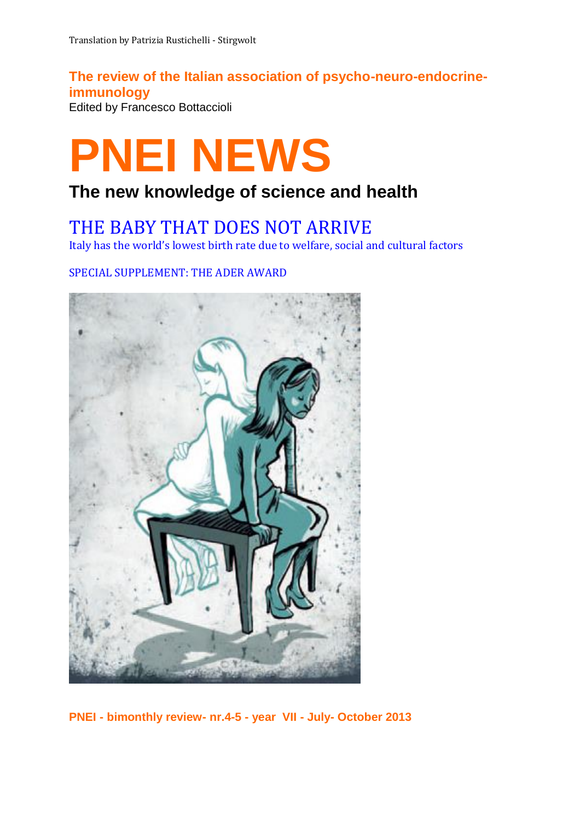# **The review of the Italian association of psycho-neuro-endocrineimmunology**

Edited by Francesco Bottaccioli

# **PNEI NEWS**

# **The new knowledge of science and health**

# THE BABY THAT DOES NOT ARRIVE

Italy has the world's lowest birth rate due to welfare, social and cultural factors

SPECIAL SUPPLEMENT: THE ADER AWARD



**PNEI - bimonthly review- nr.4-5 - year VII - July- October 2013**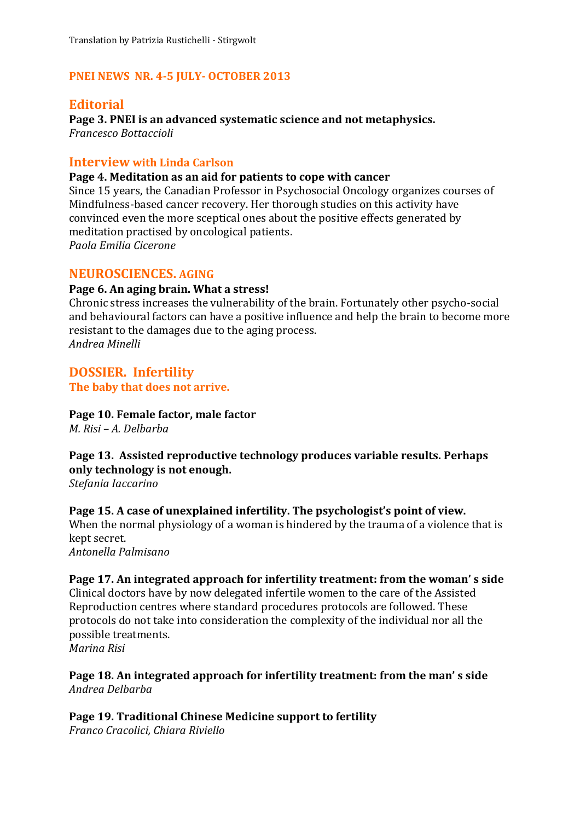#### **PNEI NEWS NR. 4-5 JULY- OCTOBER 2013**

#### **Editorial**

**Page 3. PNEI is an advanced systematic science and not metaphysics.** *Francesco Bottaccioli*

#### **Interview with Linda Carlson**

#### **Page 4. Meditation as an aid for patients to cope with cancer**

Since 15 years, the Canadian Professor in Psychosocial Oncology organizes courses of Mindfulness-based cancer recovery. Her thorough studies on this activity have convinced even the more sceptical ones about the positive effects generated by meditation practised by oncological patients. *Paola Emilia Cicerone*

#### **NEUROSCIENCES. AGING**

#### **Page 6. An aging brain. What a stress!**

Chronic stress increases the vulnerability of the brain. Fortunately other psycho-social and behavioural factors can have a positive influence and help the brain to become more resistant to the damages due to the aging process. *Andrea Minelli*

#### **DOSSIER. Infertility The baby that does not arrive.**

**Page 10. Female factor, male factor**

*M. Risi – A. Delbarba*

## **Page 13. Assisted reproductive technology produces variable results. Perhaps only technology is not enough.**

*Stefania Iaccarino*

#### **Page 15. A case of unexplained infertility. The psychologist's point of view.**

When the normal physiology of a woman is hindered by the trauma of a violence that is kept secret.

*Antonella Palmisano*

#### **Page 17. An integrated approach for infertility treatment: from the woman' s side**

Clinical doctors have by now delegated infertile women to the care of the Assisted Reproduction centres where standard procedures protocols are followed. These protocols do not take into consideration the complexity of the individual nor all the possible treatments.

*Marina Risi*

**Page 18. An integrated approach for infertility treatment: from the man' s side** *Andrea Delbarba*

**Page 19. Traditional Chinese Medicine support to fertility** *Franco Cracolici, Chiara Riviello*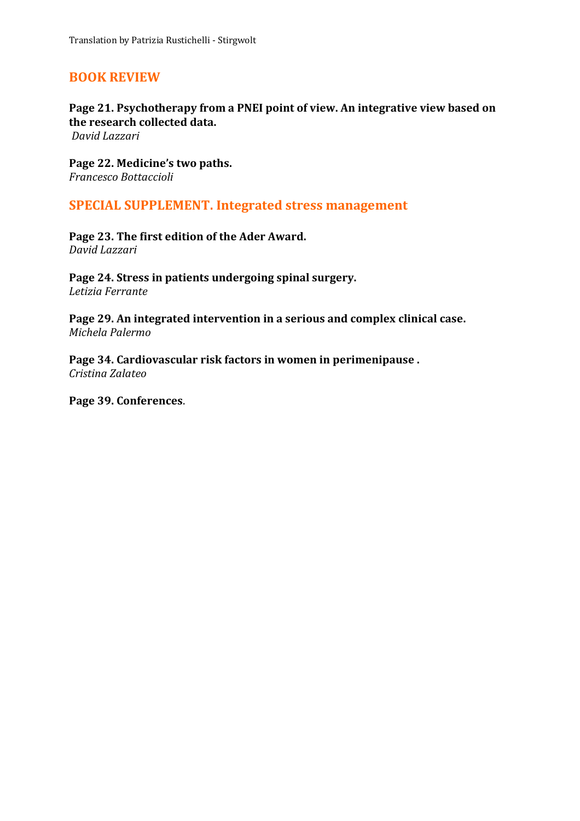### **BOOK REVIEW**

#### **Page 21. Psychotherapy from a PNEI point of view. An integrative view based on the research collected data.**

*David Lazzari*

**Page 22. Medicine's two paths.** *Francesco Bottaccioli*

#### **SPECIAL SUPPLEMENT. Integrated stress management**

**Page 23. The first edition of the Ader Award.** *David Lazzari*

**Page 24. Stress in patients undergoing spinal surgery.** *Letizia Ferrante*

**Page 29. An integrated intervention in a serious and complex clinical case.** *Michela Palermo*

**Page 34. Cardiovascular risk factors in women in perimenipause .** *Cristina Zalateo*

**Page 39. Conferences**.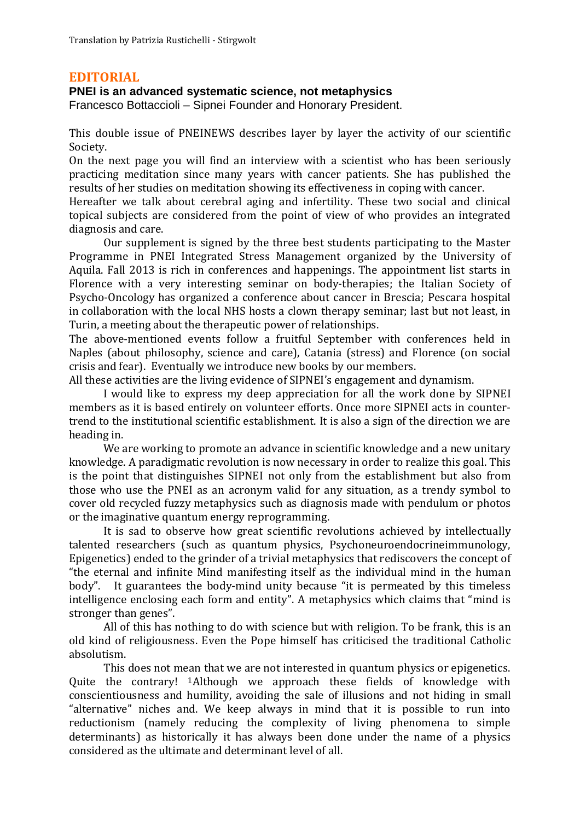#### **EDITORIAL**

#### **PNEI is an advanced systematic science, not metaphysics**

Francesco Bottaccioli – Sipnei Founder and Honorary President.

This double issue of PNEINEWS describes layer by layer the activity of our scientific Society.

On the next page you will find an interview with a scientist who has been seriously practicing meditation since many years with cancer patients. She has published the results of her studies on meditation showing its effectiveness in coping with cancer.

Hereafter we talk about cerebral aging and infertility. These two social and clinical topical subjects are considered from the point of view of who provides an integrated diagnosis and care.

Our supplement is signed by the three best students participating to the Master Programme in PNEI Integrated Stress Management organized by the University of Aquila. Fall 2013 is rich in conferences and happenings. The appointment list starts in Florence with a very interesting seminar on body-therapies; the Italian Society of Psycho-Oncology has organized a conference about cancer in Brescia; Pescara hospital in collaboration with the local NHS hosts a clown therapy seminar; last but not least, in Turin, a meeting about the therapeutic power of relationships.

The above-mentioned events follow a fruitful September with conferences held in Naples (about philosophy, science and care), Catania (stress) and Florence (on social crisis and fear). Eventually we introduce new books by our members.

All these activities are the living evidence of SIPNEI's engagement and dynamism.

I would like to express my deep appreciation for all the work done by SIPNEI members as it is based entirely on volunteer efforts. Once more SIPNEI acts in countertrend to the institutional scientific establishment. It is also a sign of the direction we are heading in.

We are working to promote an advance in scientific knowledge and a new unitary knowledge. A paradigmatic revolution is now necessary in order to realize this goal. This is the point that distinguishes SIPNEI not only from the establishment but also from those who use the PNEI as an acronym valid for any situation, as a trendy symbol to cover old recycled fuzzy metaphysics such as diagnosis made with pendulum or photos or the imaginative quantum energy reprogramming.

It is sad to observe how great scientific revolutions achieved by intellectually talented researchers (such as quantum physics, Psychoneuroendocrineimmunology, Epigenetics) ended to the grinder of a trivial metaphysics that rediscovers the concept of "the eternal and infinite Mind manifesting itself as the individual mind in the human body". It guarantees the body-mind unity because "it is permeated by this timeless intelligence enclosing each form and entity". A metaphysics which claims that "mind is stronger than genes".

All of this has nothing to do with science but with religion. To be frank, this is an old kind of religiousness. Even the Pope himself has criticised the traditional Catholic absolutism.

This does not mean that we are not interested in quantum physics or epigenetics. Quite the contrary! 1Although we approach these fields of knowledge with conscientiousness and humility, avoiding the sale of illusions and not hiding in small "alternative" niches and. We keep always in mind that it is possible to run into reductionism (namely reducing the complexity of living phenomena to simple determinants) as historically it has always been done under the name of a physics considered as the ultimate and determinant level of all.